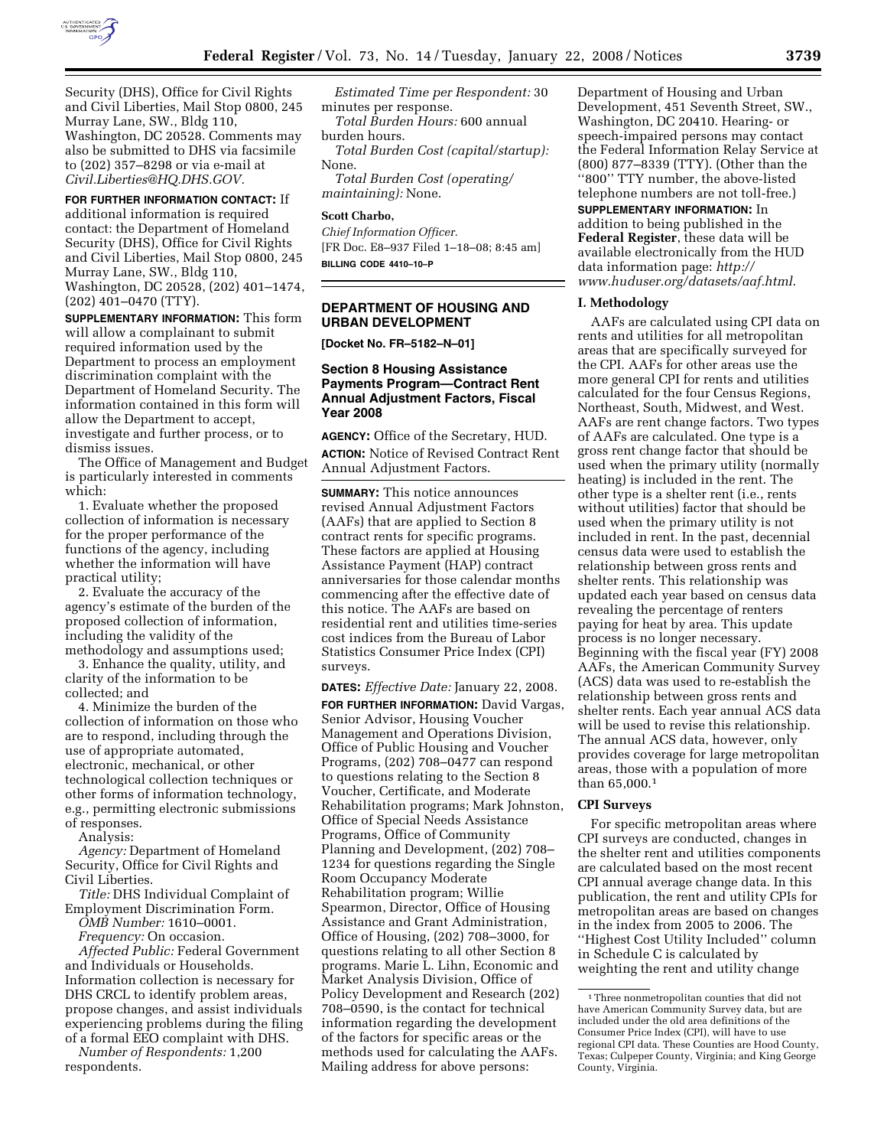

Security (DHS), Office for Civil Rights and Civil Liberties, Mail Stop 0800, 245 Murray Lane, SW., Bldg 110, Washington, DC 20528. Comments may also be submitted to DHS via facsimile to (202) 357–8298 or via e-mail at *Civil.Liberties@HQ.DHS.GOV.* 

**FOR FURTHER INFORMATION CONTACT:** If additional information is required contact: the Department of Homeland Security (DHS), Office for Civil Rights and Civil Liberties, Mail Stop 0800, 245 Murray Lane, SW., Bldg 110, Washington, DC 20528, (202) 401–1474, (202) 401–0470 (TTY).

**SUPPLEMENTARY INFORMATION:** This form will allow a complainant to submit required information used by the Department to process an employment discrimination complaint with the Department of Homeland Security. The information contained in this form will allow the Department to accept, investigate and further process, or to dismiss issues.

The Office of Management and Budget is particularly interested in comments which:

1. Evaluate whether the proposed collection of information is necessary for the proper performance of the functions of the agency, including whether the information will have practical utility;

2. Evaluate the accuracy of the agency's estimate of the burden of the proposed collection of information, including the validity of the methodology and assumptions used;

3. Enhance the quality, utility, and clarity of the information to be collected; and

4. Minimize the burden of the collection of information on those who are to respond, including through the use of appropriate automated, electronic, mechanical, or other technological collection techniques or other forms of information technology, e.g., permitting electronic submissions of responses.

Analysis:

*Agency:* Department of Homeland Security, Office for Civil Rights and Civil Liberties.

*Title:* DHS Individual Complaint of Employment Discrimination Form.

*OMB Number:* 1610–0001.

*Frequency:* On occasion. *Affected Public:* Federal Government and Individuals or Households. Information collection is necessary for DHS CRCL to identify problem areas, propose changes, and assist individuals experiencing problems during the filing of a formal EEO complaint with DHS.

*Number of Respondents:* 1,200 respondents.

*Estimated Time per Respondent:* 30 minutes per response.

*Total Burden Hours:* 600 annual burden hours.

*Total Burden Cost (capital/startup):*  None.

*Total Burden Cost (operating/ maintaining):* None.

#### **Scott Charbo,**

*Chief Information Officer.*  [FR Doc. E8–937 Filed 1–18–08; 8:45 am] **BILLING CODE 4410–10–P** 

# **DEPARTMENT OF HOUSING AND URBAN DEVELOPMENT**

**[Docket No. FR–5182–N–01]** 

# **Section 8 Housing Assistance Payments Program—Contract Rent Annual Adjustment Factors, Fiscal Year 2008**

**AGENCY:** Office of the Secretary, HUD. **ACTION:** Notice of Revised Contract Rent Annual Adjustment Factors.

**SUMMARY:** This notice announces revised Annual Adjustment Factors (AAFs) that are applied to Section 8 contract rents for specific programs. These factors are applied at Housing Assistance Payment (HAP) contract anniversaries for those calendar months commencing after the effective date of this notice. The AAFs are based on residential rent and utilities time-series cost indices from the Bureau of Labor Statistics Consumer Price Index (CPI) surveys.

**DATES:** *Effective Date:* January 22, 2008. **FOR FURTHER INFORMATION:** David Vargas, Senior Advisor, Housing Voucher Management and Operations Division, Office of Public Housing and Voucher Programs, (202) 708–0477 can respond to questions relating to the Section 8 Voucher, Certificate, and Moderate Rehabilitation programs; Mark Johnston, Office of Special Needs Assistance Programs, Office of Community Planning and Development, (202) 708– 1234 for questions regarding the Single Room Occupancy Moderate Rehabilitation program; Willie Spearmon, Director, Office of Housing Assistance and Grant Administration, Office of Housing, (202) 708–3000, for questions relating to all other Section 8 programs. Marie L. Lihn, Economic and Market Analysis Division, Office of Policy Development and Research (202) 708–0590, is the contact for technical information regarding the development of the factors for specific areas or the methods used for calculating the AAFs. Mailing address for above persons:

Department of Housing and Urban Development, 451 Seventh Street, SW., Washington, DC 20410. Hearing- or speech-impaired persons may contact the Federal Information Relay Service at (800) 877–8339 (TTY). (Other than the ''800'' TTY number, the above-listed telephone numbers are not toll-free.)

# **SUPPLEMENTARY INFORMATION:** In

addition to being published in the **Federal Register**, these data will be available electronically from the HUD data information page: *http:// www.huduser.org/datasets/aaf.html*.

### **I. Methodology**

AAFs are calculated using CPI data on rents and utilities for all metropolitan areas that are specifically surveyed for the CPI. AAFs for other areas use the more general CPI for rents and utilities calculated for the four Census Regions, Northeast, South, Midwest, and West. AAFs are rent change factors. Two types of AAFs are calculated. One type is a gross rent change factor that should be used when the primary utility (normally heating) is included in the rent. The other type is a shelter rent (i.e., rents without utilities) factor that should be used when the primary utility is not included in rent. In the past, decennial census data were used to establish the relationship between gross rents and shelter rents. This relationship was updated each year based on census data revealing the percentage of renters paying for heat by area. This update process is no longer necessary. Beginning with the fiscal year (FY) 2008 AAFs, the American Community Survey (ACS) data was used to re-establish the relationship between gross rents and shelter rents. Each year annual ACS data will be used to revise this relationship. The annual ACS data, however, only provides coverage for large metropolitan areas, those with a population of more than 65,000.1

# **CPI Surveys**

For specific metropolitan areas where CPI surveys are conducted, changes in the shelter rent and utilities components are calculated based on the most recent CPI annual average change data. In this publication, the rent and utility CPIs for metropolitan areas are based on changes in the index from 2005 to 2006. The ''Highest Cost Utility Included'' column in Schedule C is calculated by weighting the rent and utility change

<sup>1</sup>Three nonmetropolitan counties that did not have American Community Survey data, but are included under the old area definitions of the Consumer Price Index (CPI), will have to use regional CPI data. These Counties are Hood County, Texas; Culpeper County, Virginia; and King George County, Virginia.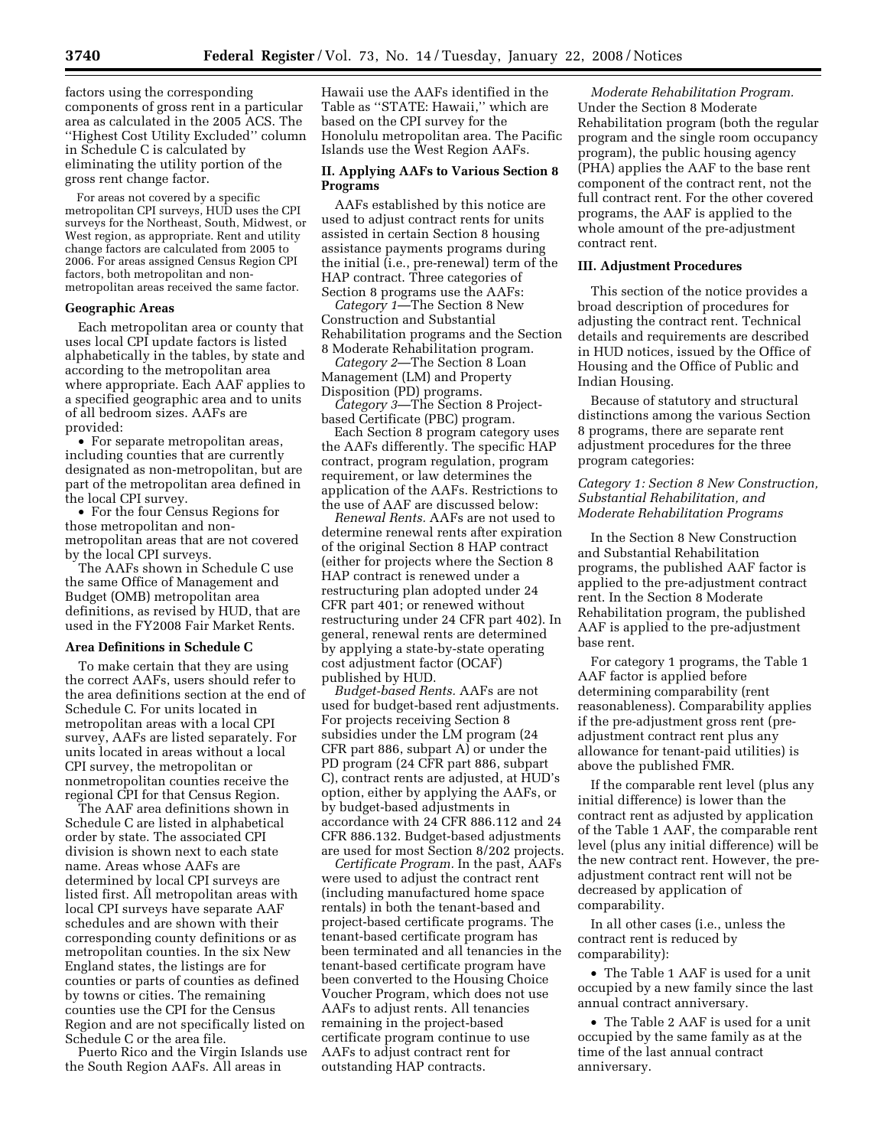factors using the corresponding components of gross rent in a particular area as calculated in the 2005 ACS. The ''Highest Cost Utility Excluded'' column in Schedule C is calculated by eliminating the utility portion of the gross rent change factor.

For areas not covered by a specific metropolitan CPI surveys, HUD uses the CPI surveys for the Northeast, South, Midwest, or West region, as appropriate. Rent and utility change factors are calculated from 2005 to 2006. For areas assigned Census Region CPI factors, both metropolitan and nonmetropolitan areas received the same factor.

### **Geographic Areas**

Each metropolitan area or county that uses local CPI update factors is listed alphabetically in the tables, by state and according to the metropolitan area where appropriate. Each AAF applies to a specified geographic area and to units of all bedroom sizes. AAFs are provided:

• For separate metropolitan areas, including counties that are currently designated as non-metropolitan, but are part of the metropolitan area defined in the local CPI survey.

• For the four Census Regions for those metropolitan and nonmetropolitan areas that are not covered by the local CPI surveys.

The AAFs shown in Schedule C use the same Office of Management and Budget (OMB) metropolitan area definitions, as revised by HUD, that are used in the FY2008 Fair Market Rents.

### **Area Definitions in Schedule C**

To make certain that they are using the correct AAFs, users should refer to the area definitions section at the end of Schedule C. For units located in metropolitan areas with a local CPI survey, AAFs are listed separately. For units located in areas without a local CPI survey, the metropolitan or nonmetropolitan counties receive the regional CPI for that Census Region.

The AAF area definitions shown in Schedule C are listed in alphabetical order by state. The associated CPI division is shown next to each state name. Areas whose AAFs are determined by local CPI surveys are listed first. All metropolitan areas with local CPI surveys have separate AAF schedules and are shown with their corresponding county definitions or as metropolitan counties. In the six New England states, the listings are for counties or parts of counties as defined by towns or cities. The remaining counties use the CPI for the Census Region and are not specifically listed on Schedule C or the area file.

Puerto Rico and the Virgin Islands use the South Region AAFs. All areas in

Hawaii use the AAFs identified in the Table as ''STATE: Hawaii,'' which are based on the CPI survey for the Honolulu metropolitan area. The Pacific Islands use the West Region AAFs.

# **II. Applying AAFs to Various Section 8 Programs**

AAFs established by this notice are used to adjust contract rents for units assisted in certain Section 8 housing assistance payments programs during the initial (i.e., pre-renewal) term of the HAP contract. Three categories of Section 8 programs use the AAFs:

*Category 1*—The Section 8 New Construction and Substantial Rehabilitation programs and the Section 8 Moderate Rehabilitation program.

*Category 2*—The Section 8 Loan Management (LM) and Property Disposition (PD) programs.

*Category 3*—The Section 8 Projectbased Certificate (PBC) program.

Each Section 8 program category uses the AAFs differently. The specific HAP contract, program regulation, program requirement, or law determines the application of the AAFs. Restrictions to the use of AAF are discussed below:

*Renewal Rents.* AAFs are not used to determine renewal rents after expiration of the original Section 8 HAP contract (either for projects where the Section 8 HAP contract is renewed under a restructuring plan adopted under 24 CFR part 401; or renewed without restructuring under 24 CFR part 402). In general, renewal rents are determined by applying a state-by-state operating cost adjustment factor (OCAF) published by HUD.

*Budget-based Rents.* AAFs are not used for budget-based rent adjustments. For projects receiving Section 8 subsidies under the LM program (24 CFR part 886, subpart A) or under the PD program (24 CFR part 886, subpart C), contract rents are adjusted, at HUD's option, either by applying the AAFs, or by budget-based adjustments in accordance with 24 CFR 886.112 and 24 CFR 886.132. Budget-based adjustments are used for most Section 8/202 projects.

*Certificate Program.* In the past, AAFs were used to adjust the contract rent (including manufactured home space rentals) in both the tenant-based and project-based certificate programs. The tenant-based certificate program has been terminated and all tenancies in the tenant-based certificate program have been converted to the Housing Choice Voucher Program, which does not use AAFs to adjust rents. All tenancies remaining in the project-based certificate program continue to use AAFs to adjust contract rent for outstanding HAP contracts.

*Moderate Rehabilitation Program.*  Under the Section 8 Moderate Rehabilitation program (both the regular program and the single room occupancy program), the public housing agency (PHA) applies the AAF to the base rent component of the contract rent, not the full contract rent. For the other covered programs, the AAF is applied to the whole amount of the pre-adjustment contract rent.

#### **III. Adjustment Procedures**

This section of the notice provides a broad description of procedures for adjusting the contract rent. Technical details and requirements are described in HUD notices, issued by the Office of Housing and the Office of Public and Indian Housing.

Because of statutory and structural distinctions among the various Section 8 programs, there are separate rent adjustment procedures for the three program categories:

# *Category 1: Section 8 New Construction, Substantial Rehabilitation, and Moderate Rehabilitation Programs*

In the Section 8 New Construction and Substantial Rehabilitation programs, the published AAF factor is applied to the pre-adjustment contract rent. In the Section 8 Moderate Rehabilitation program, the published AAF is applied to the pre-adjustment base rent.

For category 1 programs, the Table 1 AAF factor is applied before determining comparability (rent reasonableness). Comparability applies if the pre-adjustment gross rent (preadjustment contract rent plus any allowance for tenant-paid utilities) is above the published FMR.

If the comparable rent level (plus any initial difference) is lower than the contract rent as adjusted by application of the Table 1 AAF, the comparable rent level (plus any initial difference) will be the new contract rent. However, the preadjustment contract rent will not be decreased by application of comparability.

In all other cases (i.e., unless the contract rent is reduced by comparability):

• The Table 1 AAF is used for a unit occupied by a new family since the last annual contract anniversary.

• The Table 2 AAF is used for a unit occupied by the same family as at the time of the last annual contract anniversary.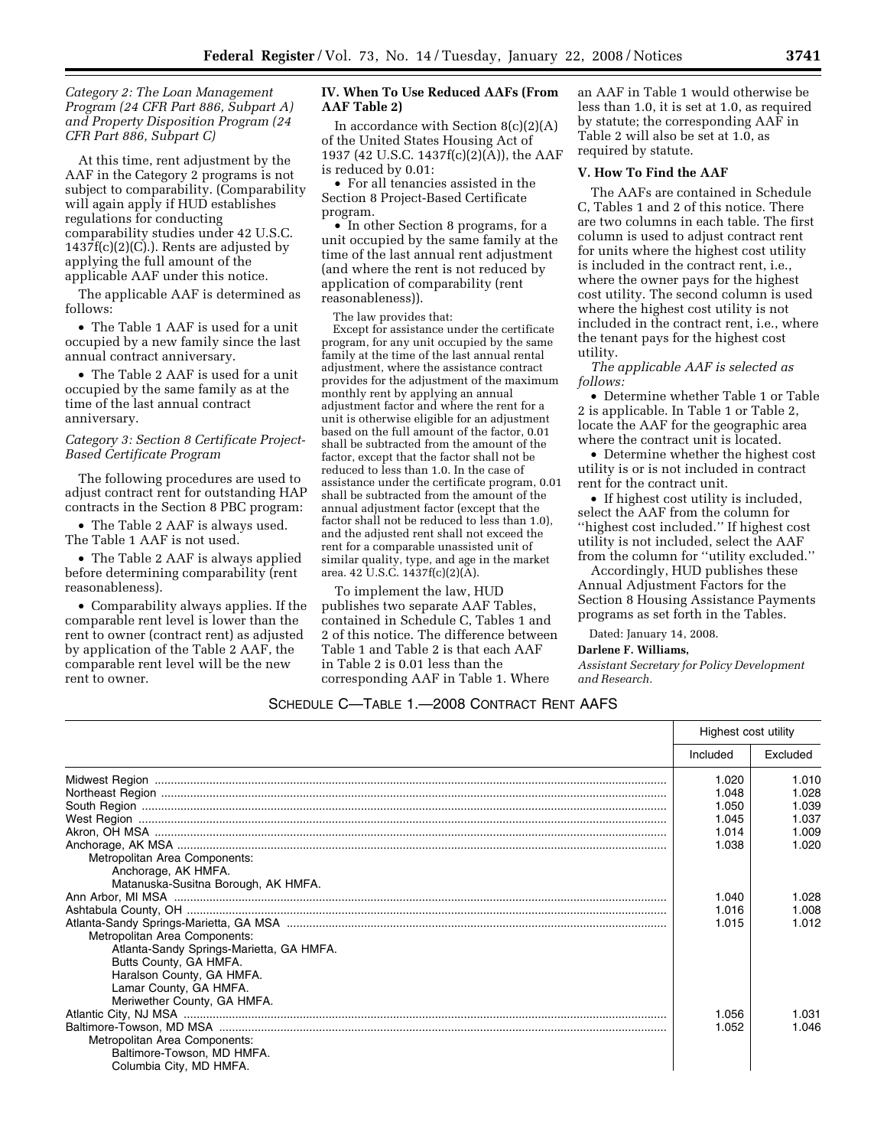*Category 2: The Loan Management Program (24 CFR Part 886, Subpart A) and Property Disposition Program (24 CFR Part 886, Subpart C)* 

At this time, rent adjustment by the AAF in the Category 2 programs is not subject to comparability. (Comparability will again apply if HUD establishes regulations for conducting comparability studies under 42 U.S.C.  $1437f(c)(2)(C)$ .). Rents are adjusted by applying the full amount of the applicable AAF under this notice.

The applicable AAF is determined as follows:

• The Table 1 AAF is used for a unit occupied by a new family since the last annual contract anniversary.

• The Table 2 AAF is used for a unit occupied by the same family as at the time of the last annual contract anniversary.

### *Category 3: Section 8 Certificate Project-Based Certificate Program*

The following procedures are used to adjust contract rent for outstanding HAP contracts in the Section 8 PBC program:

• The Table 2 AAF is always used. The Table 1 AAF is not used.

• The Table 2 AAF is always applied before determining comparability (rent reasonableness).

• Comparability always applies. If the comparable rent level is lower than the rent to owner (contract rent) as adjusted by application of the Table 2 AAF, the comparable rent level will be the new rent to owner.

### **IV. When To Use Reduced AAFs (From AAF Table 2)**

In accordance with Section  $8(c)(2)(A)$ of the United States Housing Act of 1937 (42 U.S.C. 1437f(c)(2)(A)), the AAF is reduced by 0.01:

• For all tenancies assisted in the Section 8 Project-Based Certificate program.

• In other Section 8 programs, for a unit occupied by the same family at the time of the last annual rent adjustment (and where the rent is not reduced by application of comparability (rent reasonableness)).

The law provides that:

Except for assistance under the certificate program, for any unit occupied by the same family at the time of the last annual rental adjustment, where the assistance contract provides for the adjustment of the maximum monthly rent by applying an annual adjustment factor and where the rent for a unit is otherwise eligible for an adjustment based on the full amount of the factor, 0.01 shall be subtracted from the amount of the factor, except that the factor shall not be reduced to less than 1.0. In the case of assistance under the certificate program, 0.01 shall be subtracted from the amount of the annual adjustment factor (except that the factor shall not be reduced to less than 1.0), and the adjusted rent shall not exceed the rent for a comparable unassisted unit of similar quality, type, and age in the market area. 42 U.S.C. 1437f(c)(2)(A).

To implement the law, HUD publishes two separate AAF Tables, contained in Schedule C, Tables 1 and 2 of this notice. The difference between Table 1 and Table 2 is that each AAF in Table 2 is 0.01 less than the corresponding AAF in Table 1. Where

an AAF in Table 1 would otherwise be less than 1.0, it is set at 1.0, as required by statute; the corresponding AAF in Table 2 will also be set at 1.0, as required by statute.

### **V. How To Find the AAF**

The AAFs are contained in Schedule C, Tables 1 and 2 of this notice. There are two columns in each table. The first column is used to adjust contract rent for units where the highest cost utility is included in the contract rent, i.e., where the owner pays for the highest cost utility. The second column is used where the highest cost utility is not included in the contract rent, i.e., where the tenant pays for the highest cost utility.

*The applicable AAF is selected as follows:* 

• Determine whether Table 1 or Table 2 is applicable. In Table 1 or Table 2, locate the AAF for the geographic area where the contract unit is located.

• Determine whether the highest cost utility is or is not included in contract rent for the contract unit.

• If highest cost utility is included, select the AAF from the column for ''highest cost included.'' If highest cost utility is not included, select the AAF from the column for ''utility excluded.''

Accordingly, HUD publishes these Annual Adjustment Factors for the Section 8 Housing Assistance Payments programs as set forth in the Tables.

Dated: January 14, 2008.

#### **Darlene F. Williams,**

*Assistant Secretary for Policy Development and Research.* 

# SCHEDULE C—TABLE 1.—2008 CONTRACT RENT AAFS

|                                          | Highest cost utility |          |
|------------------------------------------|----------------------|----------|
|                                          | Included             | Excluded |
|                                          | 1.020                | 1.010    |
|                                          | 1.048                | 1.028    |
|                                          | 1.050                | 1.039    |
|                                          | 1.045                | 1.037    |
|                                          | 1.014                | 1.009    |
|                                          | 1.038                | 1.020    |
| Metropolitan Area Components:            |                      |          |
| Anchorage, AK HMFA.                      |                      |          |
| Matanuska-Susitna Borough, AK HMFA.      |                      |          |
|                                          | 1.040                | 1.028    |
|                                          | 1.016                | 1.008    |
|                                          | 1.015                | 1.012    |
| Metropolitan Area Components:            |                      |          |
| Atlanta-Sandy Springs-Marietta, GA HMFA. |                      |          |
| Butts County, GA HMFA.                   |                      |          |
| Haralson County, GA HMFA.                |                      |          |
| Lamar County, GA HMFA.                   |                      |          |
| Meriwether County, GA HMFA.              |                      |          |
|                                          | 1.056                | 1.031    |
|                                          | 1.052                | 1.046    |
| Metropolitan Area Components:            |                      |          |
| Baltimore-Towson, MD HMFA.               |                      |          |
| Columbia City, MD HMFA.                  |                      |          |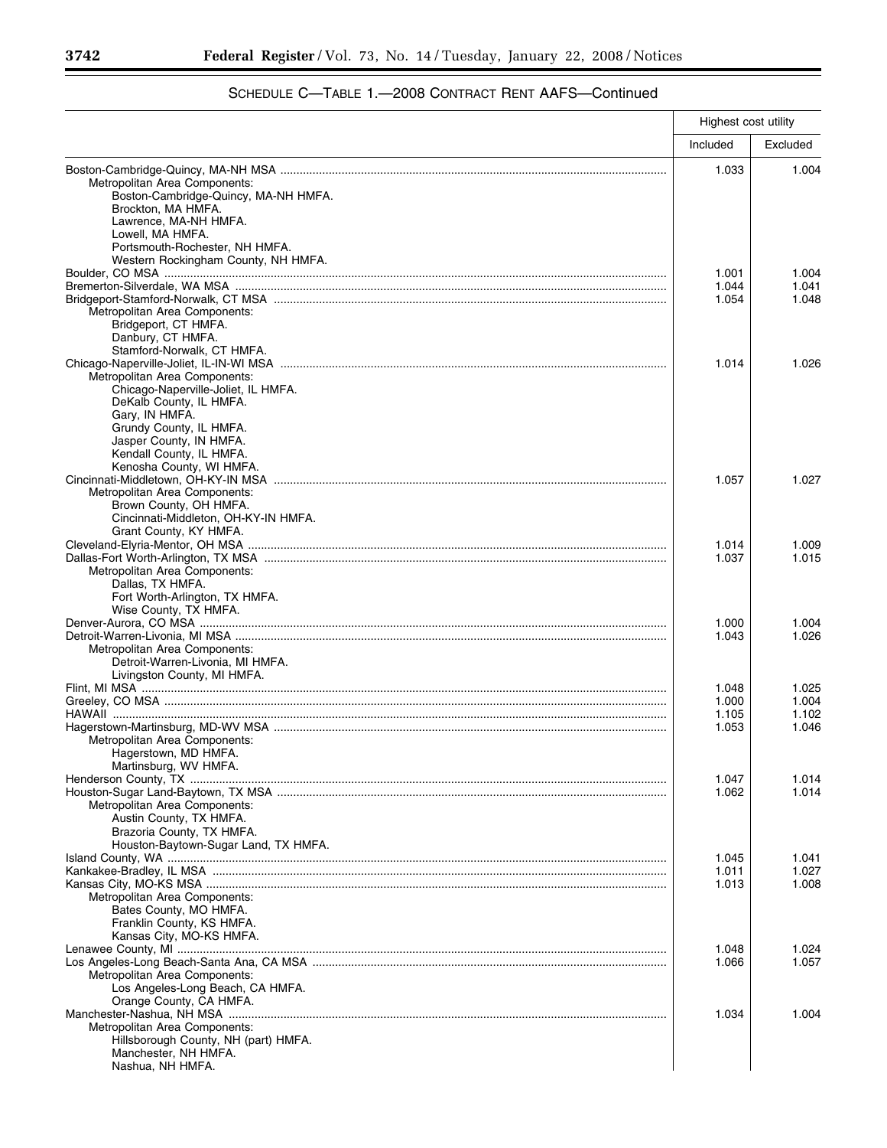٠

|                                                                   | Highest cost utility |          |
|-------------------------------------------------------------------|----------------------|----------|
|                                                                   | Included             | Excluded |
|                                                                   | 1.033                | 1.004    |
| Metropolitan Area Components:                                     |                      |          |
| Boston-Cambridge-Quincy, MA-NH HMFA.                              |                      |          |
| Brockton, MA HMFA.<br>Lawrence, MA-NH HMFA.                       |                      |          |
| Lowell, MA HMFA.                                                  |                      |          |
| Portsmouth-Rochester, NH HMFA.                                    |                      |          |
| Western Rockingham County, NH HMFA.                               |                      |          |
|                                                                   | 1.001                | 1.004    |
|                                                                   | 1.044                | 1.041    |
|                                                                   | 1.054                | 1.048    |
| Metropolitan Area Components:                                     |                      |          |
| Bridgeport, CT HMFA.                                              |                      |          |
| Danbury, CT HMFA.                                                 |                      |          |
| Stamford-Norwalk, CT HMFA.                                        | 1.014                | 1.026    |
| Metropolitan Area Components:                                     |                      |          |
| Chicago-Naperville-Joliet, IL HMFA.                               |                      |          |
| DeKalb County, IL HMFA.                                           |                      |          |
| Gary, IN HMFA.                                                    |                      |          |
| Grundy County, IL HMFA.                                           |                      |          |
| Jasper County, IN HMFA.                                           |                      |          |
| Kendall County, IL HMFA.                                          |                      |          |
| Kenosha County, WI HMFA.                                          |                      |          |
|                                                                   | 1.057                | 1.027    |
| Metropolitan Area Components:                                     |                      |          |
| Brown County, OH HMFA.<br>Cincinnati-Middleton, OH-KY-IN HMFA.    |                      |          |
| Grant County, KY HMFA.                                            |                      |          |
|                                                                   | 1.014                | 1.009    |
|                                                                   | 1.037                | 1.015    |
| Metropolitan Area Components:                                     |                      |          |
| Dallas, TX HMFA.                                                  |                      |          |
| Fort Worth-Arlington, TX HMFA.                                    |                      |          |
| Wise County, TX HMFA.                                             |                      |          |
|                                                                   | 1.000                | 1.004    |
|                                                                   | 1.043                | 1.026    |
| Metropolitan Area Components:                                     |                      |          |
| Detroit-Warren-Livonia, MI HMFA.                                  |                      |          |
| Livingston County, MI HMFA.                                       | 1.048                | 1.025    |
|                                                                   | 1.000                | 1.004    |
|                                                                   | 1.105                | 1.102    |
|                                                                   | 1.053                | 1.046    |
| Metropolitan Area Components:                                     |                      |          |
| Hagerstown, MD HMFA                                               |                      |          |
| Martinsburg, WV HMFA.                                             |                      |          |
|                                                                   | 1.047                | 1.014    |
|                                                                   | 1.062                | 1.014    |
| Metropolitan Area Components:                                     |                      |          |
| Austin County, TX HMFA.                                           |                      |          |
| Brazoria County, TX HMFA.<br>Houston-Baytown-Sugar Land, TX HMFA. |                      |          |
|                                                                   | 1.045                | 1.041    |
|                                                                   | 1.011                | 1.027    |
|                                                                   | 1.013                | 1.008    |
| Metropolitan Area Components:                                     |                      |          |
| Bates County, MO HMFA.                                            |                      |          |
| Franklin County, KS HMFA.                                         |                      |          |
| Kansas City, MO-KS HMFA.                                          |                      |          |
|                                                                   | 1.048                | 1.024    |
|                                                                   | 1.066                | 1.057    |
| Metropolitan Area Components:                                     |                      |          |
| Los Angeles-Long Beach, CA HMFA.<br>Orange County, CA HMFA.       |                      |          |
|                                                                   | 1.034                | 1.004    |
| Metropolitan Area Components:                                     |                      |          |
| Hillsborough County, NH (part) HMFA.                              |                      |          |
| Manchester, NH HMFA.                                              |                      |          |
| Nashua, NH HMFA.                                                  |                      |          |

# SCHEDULE C—TABLE 1.—2008 CONTRACT RENT AAFS—Continued

-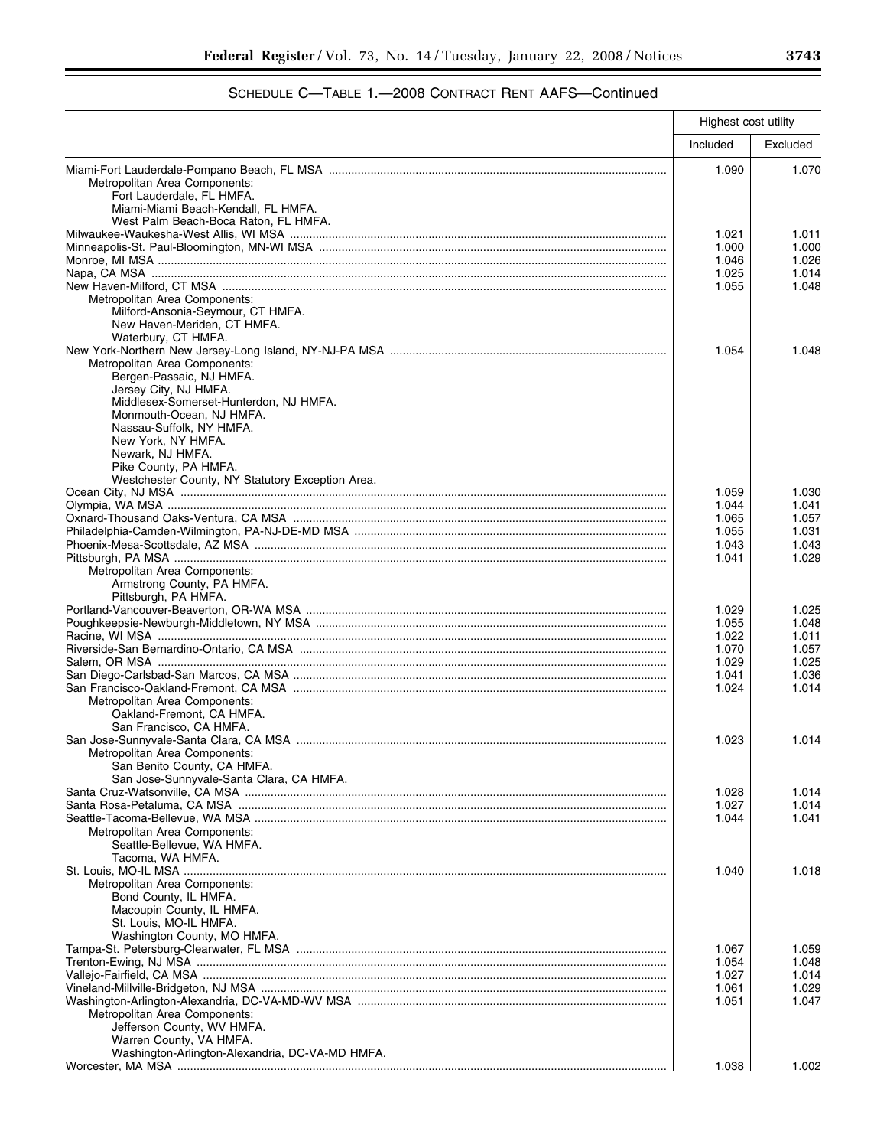# SCHEDULE C—TABLE 1.—2008 CONTRACT RENT AAFS—Continued

|                                                                                                | Highest cost utility |                |
|------------------------------------------------------------------------------------------------|----------------------|----------------|
|                                                                                                | Included             | Excluded       |
| Metropolitan Area Components:<br>Fort Lauderdale, FL HMFA.                                     | 1.090                | 1.070          |
| Miami-Miami Beach-Kendall, FL HMFA.<br>West Palm Beach-Boca Raton, FL HMFA.                    |                      |                |
|                                                                                                | 1.021<br>1.000       | 1.011<br>1.000 |
|                                                                                                | 1.046                | 1.026          |
|                                                                                                | 1.025                | 1.014          |
|                                                                                                | 1.055                | 1.048          |
| Metropolitan Area Components:<br>Milford-Ansonia-Seymour, CT HMFA.                             |                      |                |
| New Haven-Meriden, CT HMFA.<br>Waterbury, CT HMFA.                                             |                      |                |
|                                                                                                | 1.054                | 1.048          |
| Metropolitan Area Components:<br>Bergen-Passaic, NJ HMFA.                                      |                      |                |
| Jersey City, NJ HMFA.                                                                          |                      |                |
| Middlesex-Somerset-Hunterdon, NJ HMFA.<br>Monmouth-Ocean, NJ HMFA.<br>Nassau-Suffolk, NY HMFA. |                      |                |
| New York, NY HMFA.                                                                             |                      |                |
| Newark, NJ HMFA.<br>Pike County, PA HMFA.                                                      |                      |                |
| Westchester County, NY Statutory Exception Area.                                               |                      |                |
|                                                                                                | 1.059                | 1.030<br>1.041 |
|                                                                                                | 1.044<br>1.065       | 1.057          |
|                                                                                                | 1.055                | 1.031          |
|                                                                                                | 1.043                | 1.043          |
|                                                                                                | 1.041                | 1.029          |
| Metropolitan Area Components:                                                                  |                      |                |
| Armstrong County, PA HMFA.                                                                     |                      |                |
| Pittsburgh, PA HMFA.                                                                           |                      |                |
|                                                                                                | 1.029<br>1.055       | 1.025<br>1.048 |
|                                                                                                | 1.022                | 1.011          |
|                                                                                                | 1.070                | 1.057          |
|                                                                                                | 1.029                | 1.025          |
|                                                                                                | 1.041                | 1.036          |
|                                                                                                | 1.024                | 1.014          |
| Metropolitan Area Components:                                                                  |                      |                |
| Oakland-Fremont, CA HMFA.<br>San Francisco, CA HMFA.                                           |                      |                |
|                                                                                                | 1.023                | 1.014          |
| Metropolitan Area Components:                                                                  |                      |                |
| San Benito County, CA HMFA.                                                                    |                      |                |
| San Jose-Sunnyvale-Santa Clara, CA HMFA.                                                       |                      |                |
|                                                                                                | 1.028                | 1.014          |
|                                                                                                | 1.027                | 1.014<br>1.041 |
| Metropolitan Area Components:                                                                  | 1.044                |                |
| Seattle-Bellevue, WA HMFA.                                                                     |                      |                |
| Tacoma, WA HMFA.                                                                               |                      |                |
|                                                                                                | 1.040                | 1.018          |
| Metropolitan Area Components:                                                                  |                      |                |
| Bond County, IL HMFA.                                                                          |                      |                |
| Macoupin County, IL HMFA.<br>St. Louis, MO-IL HMFA.                                            |                      |                |
| Washington County, MO HMFA.                                                                    |                      |                |
|                                                                                                | 1.067                | 1.059          |
|                                                                                                | 1.054                | 1.048          |
|                                                                                                | 1.027                | 1.014          |
|                                                                                                | 1.061                | 1.029          |
|                                                                                                | 1.051                | 1.047          |
| Metropolitan Area Components:<br>Jefferson County, WV HMFA.                                    |                      |                |
| Warren County, VA HMFA.                                                                        |                      |                |
| Washington-Arlington-Alexandria, DC-VA-MD HMFA.                                                |                      |                |
|                                                                                                | 1.038                | 1.002          |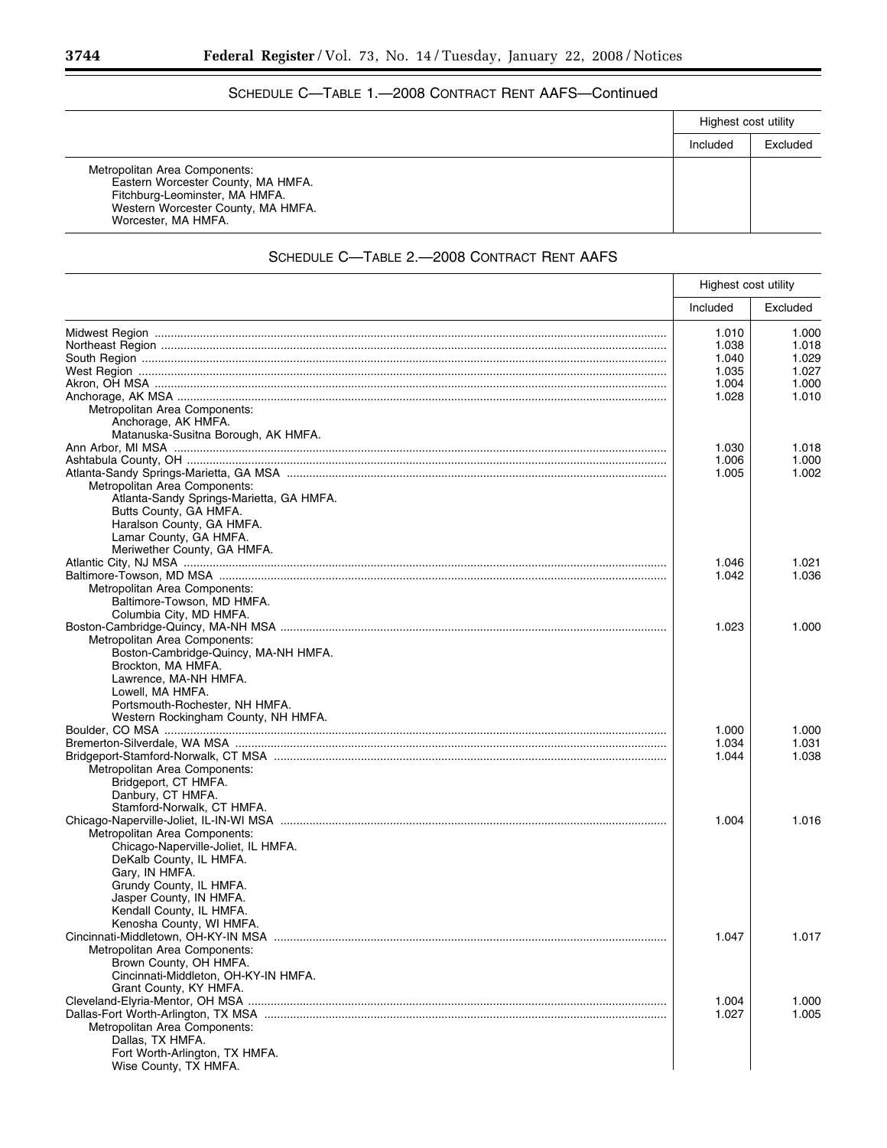# SCHEDULE C—TABLE 1.—2008 CONTRACT RENT AAFS—Continued

|                                                                                                                                                                    | Highest cost utility |          |
|--------------------------------------------------------------------------------------------------------------------------------------------------------------------|----------------------|----------|
|                                                                                                                                                                    | Included             | Excluded |
| Metropolitan Area Components:<br>Eastern Worcester County, MA HMFA.<br>Fitchburg-Leominster, MA HMFA.<br>Western Worcester County, MA HMFA.<br>Worcester, MA HMFA. |                      |          |

# SCHEDULE C—TABLE 2.—2008 CONTRACT RENT AAFS

|                                          | Highest cost utility |          |
|------------------------------------------|----------------------|----------|
|                                          | Included             | Excluded |
|                                          | 1.010                | 1.000    |
|                                          | 1.038                | 1.018    |
|                                          | 1.040                | 1.029    |
|                                          | 1.035                | 1.027    |
|                                          | 1.004                | 1.000    |
|                                          |                      | 1.010    |
|                                          | 1.028                |          |
| Metropolitan Area Components:            |                      |          |
| Anchorage, AK HMFA.                      |                      |          |
| Matanuska-Susitna Borough, AK HMFA.      |                      |          |
|                                          | 1.030                | 1.018    |
|                                          | 1.006                | 1.000    |
|                                          | 1.005                | 1.002    |
| Metropolitan Area Components:            |                      |          |
| Atlanta-Sandy Springs-Marietta, GA HMFA. |                      |          |
| Butts County, GA HMFA.                   |                      |          |
| Haralson County, GA HMFA.                |                      |          |
| Lamar County, GA HMFA.                   |                      |          |
| Meriwether County, GA HMFA.              |                      |          |
|                                          |                      |          |
|                                          | 1.046                | 1.021    |
|                                          | 1.042                | 1.036    |
| Metropolitan Area Components:            |                      |          |
| Baltimore-Towson, MD HMFA.               |                      |          |
| Columbia City, MD HMFA.                  |                      |          |
|                                          | 1.023                | 1.000    |
| Metropolitan Area Components:            |                      |          |
| Boston-Cambridge-Quincy, MA-NH HMFA.     |                      |          |
| Brockton, MA HMFA.                       |                      |          |
| Lawrence, MA-NH HMFA.                    |                      |          |
| Lowell, MA HMFA.                         |                      |          |
|                                          |                      |          |
| Portsmouth-Rochester, NH HMFA.           |                      |          |
| Western Rockingham County, NH HMFA.      |                      |          |
|                                          | 1.000                | 1.000    |
|                                          | 1.034                | 1.031    |
|                                          | 1.044                | 1.038    |
| Metropolitan Area Components:            |                      |          |
| Bridgeport, CT HMFA.                     |                      |          |
| Danbury, CT HMFA.                        |                      |          |
| Stamford-Norwalk, CT HMFA.               |                      |          |
|                                          | 1.004                |          |
|                                          |                      | 1.016    |
| Metropolitan Area Components:            |                      |          |
| Chicago-Naperville-Joliet, IL HMFA.      |                      |          |
| DeKalb County, IL HMFA.                  |                      |          |
| Gary, IN HMFA.                           |                      |          |
| Grundy County, IL HMFA.                  |                      |          |
| Jasper County, IN HMFA.                  |                      |          |
| Kendall County, IL HMFA.                 |                      |          |
| Kenosha County, WI HMFA.                 |                      |          |
|                                          | 1.047                | 1.017    |
| Metropolitan Area Components:            |                      |          |
| Brown County, OH HMFA.                   |                      |          |
|                                          |                      |          |
| Cincinnati-Middleton, OH-KY-IN HMFA.     |                      |          |
| Grant County, KY HMFA.                   |                      |          |
|                                          | 1.004                | 1.000    |
|                                          | 1.027                | 1.005    |
| Metropolitan Area Components:            |                      |          |
| Dallas, TX HMFA.                         |                      |          |
| Fort Worth-Arlington, TX HMFA.           |                      |          |
| Wise County, TX HMFA.                    |                      |          |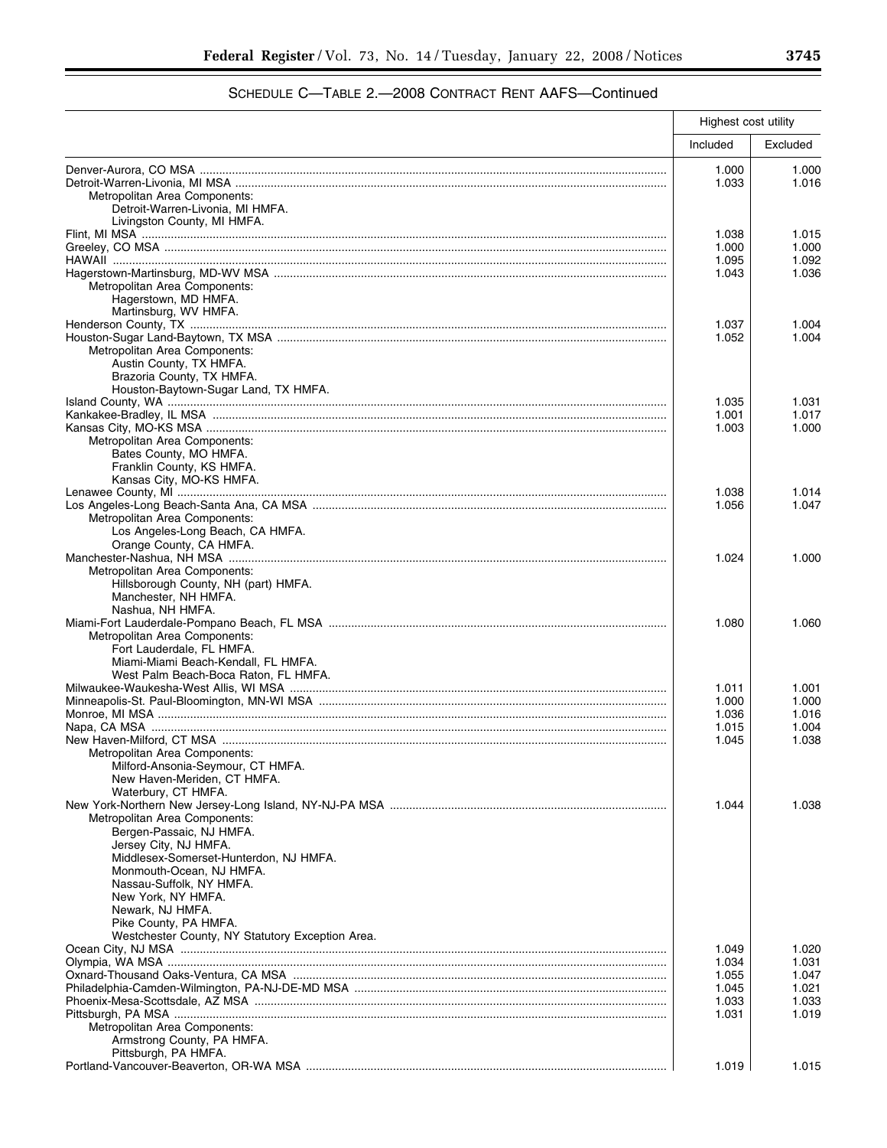# SCHEDULE C—TABLE 2.—2008 CONTRACT RENT AAFS—Continued

|                                                                             | Highest cost utility |          |
|-----------------------------------------------------------------------------|----------------------|----------|
|                                                                             | Included             | Excluded |
|                                                                             | 1.000                | 1.000    |
|                                                                             | 1.033                | 1.016    |
| Metropolitan Area Components:                                               |                      |          |
| Detroit-Warren-Livonia, MI HMFA.<br>Livingston County, MI HMFA.             |                      |          |
|                                                                             | 1.038                | 1.015    |
|                                                                             | 1.000                | 1.000    |
|                                                                             | 1.095                | 1.092    |
|                                                                             | 1.043                | 1.036    |
| Metropolitan Area Components:                                               |                      |          |
| Hagerstown, MD HMFA.<br>Martinsburg, WV HMFA.                               |                      |          |
|                                                                             | 1.037                | 1.004    |
|                                                                             | 1.052                | 1.004    |
| Metropolitan Area Components:                                               |                      |          |
| Austin County, TX HMFA.                                                     |                      |          |
| Brazoria County, TX HMFA.                                                   |                      |          |
| Houston-Baytown-Sugar Land, TX HMFA.                                        | 1.035                | 1.031    |
|                                                                             | 1.001                | 1.017    |
|                                                                             | 1.003                | 1.000    |
| Metropolitan Area Components:                                               |                      |          |
| Bates County, MO HMFA.                                                      |                      |          |
| Franklin County, KS HMFA.<br>Kansas City, MO-KS HMFA.                       |                      |          |
|                                                                             | 1.038                | 1.014    |
|                                                                             | 1.056                | 1.047    |
| Metropolitan Area Components:                                               |                      |          |
| Los Angeles-Long Beach, CA HMFA.                                            |                      |          |
| Orange County, CA HMFA.                                                     |                      |          |
| Metropolitan Area Components:                                               | 1.024                | 1.000    |
| Hillsborough County, NH (part) HMFA.                                        |                      |          |
| Manchester, NH HMFA.                                                        |                      |          |
| Nashua, NH HMFA.                                                            |                      |          |
|                                                                             | 1.080                | 1.060    |
| Metropolitan Area Components:                                               |                      |          |
| Fort Lauderdale, FL HMFA.                                                   |                      |          |
| Miami-Miami Beach-Kendall, FL HMFA.<br>West Palm Beach-Boca Raton, FL HMFA. |                      |          |
|                                                                             | 1.011                | 1.001    |
|                                                                             | 1.000                | 1.000    |
|                                                                             | 1.036                | 1.016    |
|                                                                             | 1.015                | 1.004    |
|                                                                             | 1.045                | 1.038    |
| Metropolitan Area Components:<br>Milford-Ansonia-Seymour, CT HMFA.          |                      |          |
| New Haven-Meriden, CT HMFA.                                                 |                      |          |
| Waterbury, CT HMFA.                                                         |                      |          |
|                                                                             | 1.044                | 1.038    |
| Metropolitan Area Components:                                               |                      |          |
| Bergen-Passaic, NJ HMFA.                                                    |                      |          |
| Jersey City, NJ HMFA.<br>Middlesex-Somerset-Hunterdon, NJ HMFA.             |                      |          |
| Monmouth-Ocean, NJ HMFA.                                                    |                      |          |
| Nassau-Suffolk, NY HMFA.                                                    |                      |          |
| New York, NY HMFA.                                                          |                      |          |
| Newark, NJ HMFA.                                                            |                      |          |
| Pike County, PA HMFA.                                                       |                      |          |
| Westchester County, NY Statutory Exception Area.                            | 1.049                | 1.020    |
|                                                                             | 1.034                | 1.031    |
|                                                                             | 1.055                | 1.047    |
|                                                                             | 1.045                | 1.021    |
|                                                                             | 1.033                | 1.033    |
|                                                                             | 1.031                | 1.019    |
| Metropolitan Area Components:                                               |                      |          |
| Armstrong County, PA HMFA.<br>Pittsburgh, PA HMFA.                          |                      |          |
|                                                                             | 1.019                | 1.015    |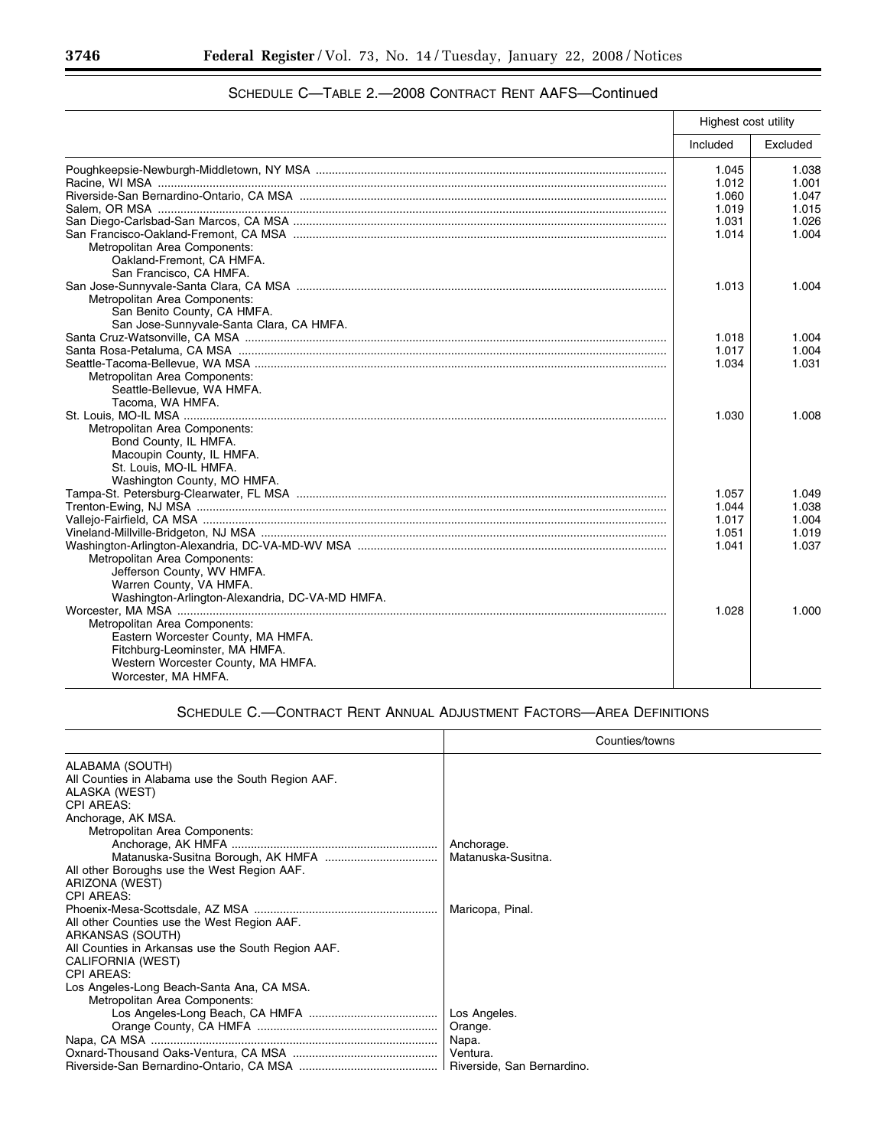|                                                 | Highest cost utility |          |
|-------------------------------------------------|----------------------|----------|
|                                                 | Included             | Excluded |
|                                                 | 1.045                | 1.038    |
|                                                 | 1.012                | 1.001    |
|                                                 | 1.060                | 1.047    |
|                                                 | 1.019                | 1.015    |
|                                                 | 1.031                | 1.026    |
|                                                 | 1.014                | 1.004    |
| Metropolitan Area Components:                   |                      |          |
| Oakland-Fremont, CA HMFA.                       |                      |          |
| San Francisco, CA HMFA.                         |                      |          |
|                                                 | 1.013                | 1.004    |
| Metropolitan Area Components:                   |                      |          |
| San Benito County, CA HMFA.                     |                      |          |
| San Jose-Sunnyvale-Santa Clara, CA HMFA.        |                      |          |
|                                                 | 1.018                | 1.004    |
|                                                 | 1.017                | 1.004    |
|                                                 | 1.034                | 1.031    |
| Metropolitan Area Components:                   |                      |          |
| Seattle-Bellevue, WA HMFA.                      |                      |          |
| Tacoma, WA HMFA.                                |                      |          |
|                                                 | 1.030                | 1.008    |
| Metropolitan Area Components:                   |                      |          |
| Bond County, IL HMFA.                           |                      |          |
| Macoupin County, IL HMFA.                       |                      |          |
| St. Louis, MO-IL HMFA.                          |                      |          |
| Washington County, MO HMFA.                     |                      |          |
|                                                 | 1.057                | 1.049    |
|                                                 | 1.044                | 1.038    |
|                                                 | 1.017                | 1.004    |
|                                                 | 1.051                | 1.019    |
|                                                 | 1.041                | 1.037    |
| Metropolitan Area Components:                   |                      |          |
| Jefferson County, WV HMFA.                      |                      |          |
| Warren County, VA HMFA.                         |                      |          |
| Washington-Arlington-Alexandria, DC-VA-MD HMFA. |                      |          |
|                                                 | 1.028                | 1.000    |
| Metropolitan Area Components:                   |                      |          |
| Eastern Worcester County, MA HMFA.              |                      |          |
| Fitchburg-Leominster, MA HMFA.                  |                      |          |
| Western Worcester County, MA HMFA.              |                      |          |
| Worcester, MA HMFA.                             |                      |          |

# SCHEDULE C—TABLE 2.—2008 CONTRACT RENT AAFS—Continued

# SCHEDULE C.—CONTRACT RENT ANNUAL ADJUSTMENT FACTORS—AREA DEFINITIONS

|                                                    | Counties/towns     |
|----------------------------------------------------|--------------------|
| ALABAMA (SOUTH)                                    |                    |
| All Counties in Alabama use the South Region AAF.  |                    |
| ALASKA (WEST)                                      |                    |
| <b>CPI AREAS:</b>                                  |                    |
| Anchorage, AK MSA.                                 |                    |
| Metropolitan Area Components:                      |                    |
|                                                    | Anchorage.         |
|                                                    | Matanuska-Susitna. |
| All other Boroughs use the West Region AAF.        |                    |
| ARIZONA (WEST)                                     |                    |
| <b>CPI AREAS:</b>                                  |                    |
|                                                    | Maricopa, Pinal.   |
| All other Counties use the West Region AAF.        |                    |
| ARKANSAS (SOUTH)                                   |                    |
| All Counties in Arkansas use the South Region AAF. |                    |
| CALIFORNIA (WEST)                                  |                    |
| <b>CPI AREAS:</b>                                  |                    |
| Los Angeles-Long Beach-Santa Ana, CA MSA.          |                    |
| Metropolitan Area Components:                      |                    |
|                                                    | Los Angeles.       |
|                                                    | Orange.            |
|                                                    | Napa.              |
|                                                    |                    |
|                                                    |                    |

-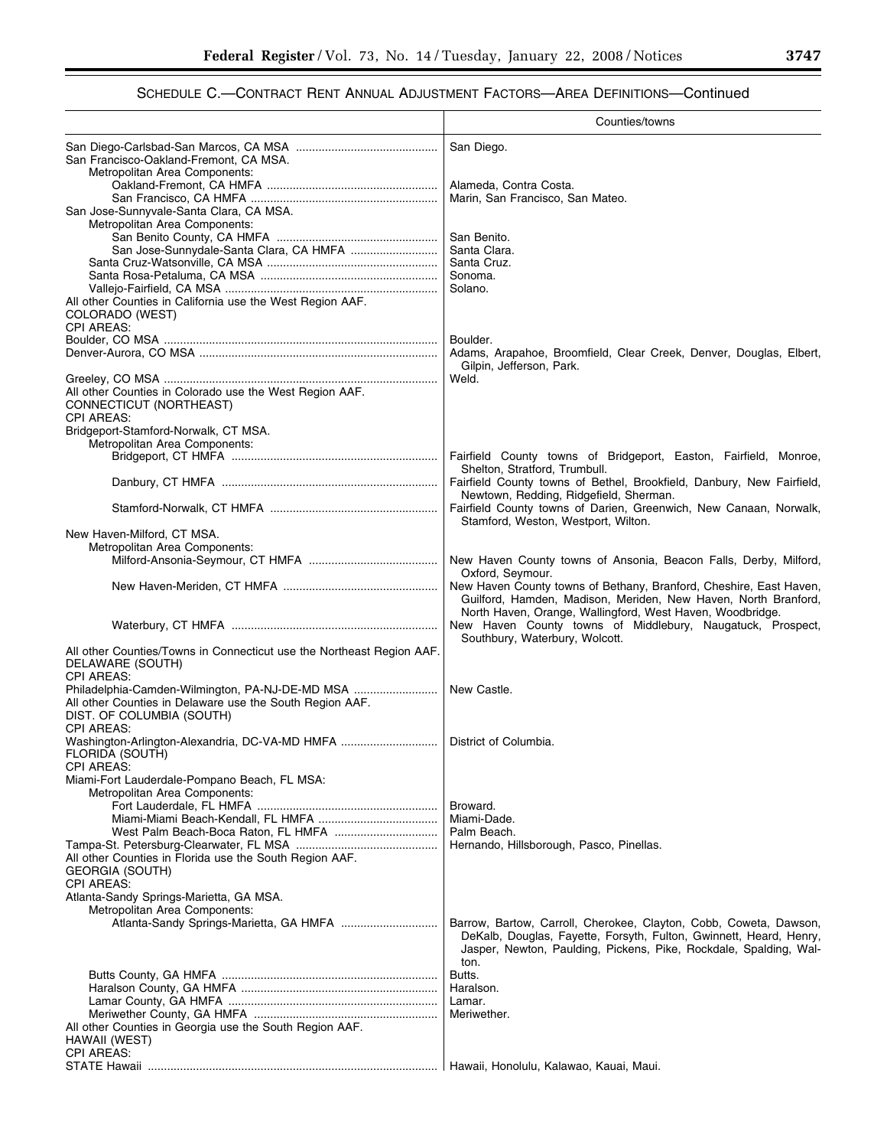|                                                                                                                                                               | Counties/towns                                                                                                                                                                                                       |
|---------------------------------------------------------------------------------------------------------------------------------------------------------------|----------------------------------------------------------------------------------------------------------------------------------------------------------------------------------------------------------------------|
| San Francisco-Oakland-Fremont, CA MSA.                                                                                                                        | San Diego.                                                                                                                                                                                                           |
| Metropolitan Area Components:                                                                                                                                 | Alameda, Contra Costa.<br>Marin, San Francisco, San Mateo.                                                                                                                                                           |
| San Jose-Sunnyvale-Santa Clara, CA MSA.<br>Metropolitan Area Components:                                                                                      | San Benito.                                                                                                                                                                                                          |
| San Jose-Sunnydale-Santa Clara, CA HMFA                                                                                                                       | Santa Clara.<br>Santa Cruz.                                                                                                                                                                                          |
| All other Counties in California use the West Region AAF.<br>COLORADO (WEST)                                                                                  | Sonoma.<br>Solano.                                                                                                                                                                                                   |
| <b>CPI AREAS:</b>                                                                                                                                             | Boulder.                                                                                                                                                                                                             |
|                                                                                                                                                               | Adams, Arapahoe, Broomfield, Clear Creek, Denver, Douglas, Elbert,<br>Gilpin, Jefferson, Park.                                                                                                                       |
| All other Counties in Colorado use the West Region AAF.<br>CONNECTICUT (NORTHEAST)<br><b>CPI AREAS:</b>                                                       | Weld.                                                                                                                                                                                                                |
| Bridgeport-Stamford-Norwalk, CT MSA.<br>Metropolitan Area Components:                                                                                         |                                                                                                                                                                                                                      |
|                                                                                                                                                               | Fairfield County towns of Bridgeport, Easton, Fairfield, Monroe,<br>Shelton, Stratford, Trumbull.<br>Fairfield County towns of Bethel, Brookfield, Danbury, New Fairfield,                                           |
|                                                                                                                                                               | Newtown, Redding, Ridgefield, Sherman.<br>Fairfield County towns of Darien, Greenwich, New Canaan, Norwalk,                                                                                                          |
| New Haven-Milford, CT MSA.<br>Metropolitan Area Components:                                                                                                   | Stamford, Weston, Westport, Wilton.                                                                                                                                                                                  |
|                                                                                                                                                               | New Haven County towns of Ansonia, Beacon Falls, Derby, Milford,<br>Oxford, Seymour.                                                                                                                                 |
|                                                                                                                                                               | New Haven County towns of Bethany, Branford, Cheshire, East Haven,<br>Guilford, Hamden, Madison, Meriden, New Haven, North Branford,<br>North Haven, Orange, Wallingford, West Haven, Woodbridge.                    |
|                                                                                                                                                               | New Haven County towns of Middlebury, Naugatuck, Prospect,<br>Southbury, Waterbury, Wolcott.                                                                                                                         |
| All other Counties/Towns in Connecticut use the Northeast Region AAF.<br>DELAWARE (SOUTH)<br><b>CPI AREAS:</b>                                                |                                                                                                                                                                                                                      |
| Philadelphia-Camden-Wilmington, PA-NJ-DE-MD MSA<br>All other Counties in Delaware use the South Region AAF.<br>DIST. OF COLUMBIA (SOUTH)<br><b>CPI AREAS:</b> | New Castle.                                                                                                                                                                                                          |
| Washington-Arlington-Alexandria, DC-VA-MD HMFA<br>FLORIDA (SOUTH)<br><b>CPI AREAS:</b>                                                                        | District of Columbia.                                                                                                                                                                                                |
| Miami-Fort Lauderdale-Pompano Beach, FL MSA:<br>Metropolitan Area Components:                                                                                 |                                                                                                                                                                                                                      |
|                                                                                                                                                               | Broward.<br>Miami-Dade.                                                                                                                                                                                              |
| All other Counties in Florida use the South Region AAF.<br><b>GEORGIA (SOUTH)</b>                                                                             | Palm Beach.<br>Hernando, Hillsborough, Pasco, Pinellas.                                                                                                                                                              |
| <b>CPI AREAS:</b><br>Atlanta-Sandy Springs-Marietta, GA MSA.                                                                                                  |                                                                                                                                                                                                                      |
| Metropolitan Area Components:<br>Atlanta-Sandy Springs-Marietta, GA HMFA                                                                                      | Barrow, Bartow, Carroll, Cherokee, Clayton, Cobb, Coweta, Dawson,<br>DeKalb, Douglas, Fayette, Forsyth, Fulton, Gwinnett, Heard, Henry,<br>Jasper, Newton, Paulding, Pickens, Pike, Rockdale, Spalding, Wal-<br>ton. |
|                                                                                                                                                               | Butts.                                                                                                                                                                                                               |
|                                                                                                                                                               | Haralson.<br>Lamar.                                                                                                                                                                                                  |
| All other Counties in Georgia use the South Region AAF.<br>HAWAII (WEST)                                                                                      | Meriwether.                                                                                                                                                                                                          |
| <b>CPI AREAS:</b>                                                                                                                                             | Hawaii, Honolulu, Kalawao, Kauai, Maui.                                                                                                                                                                              |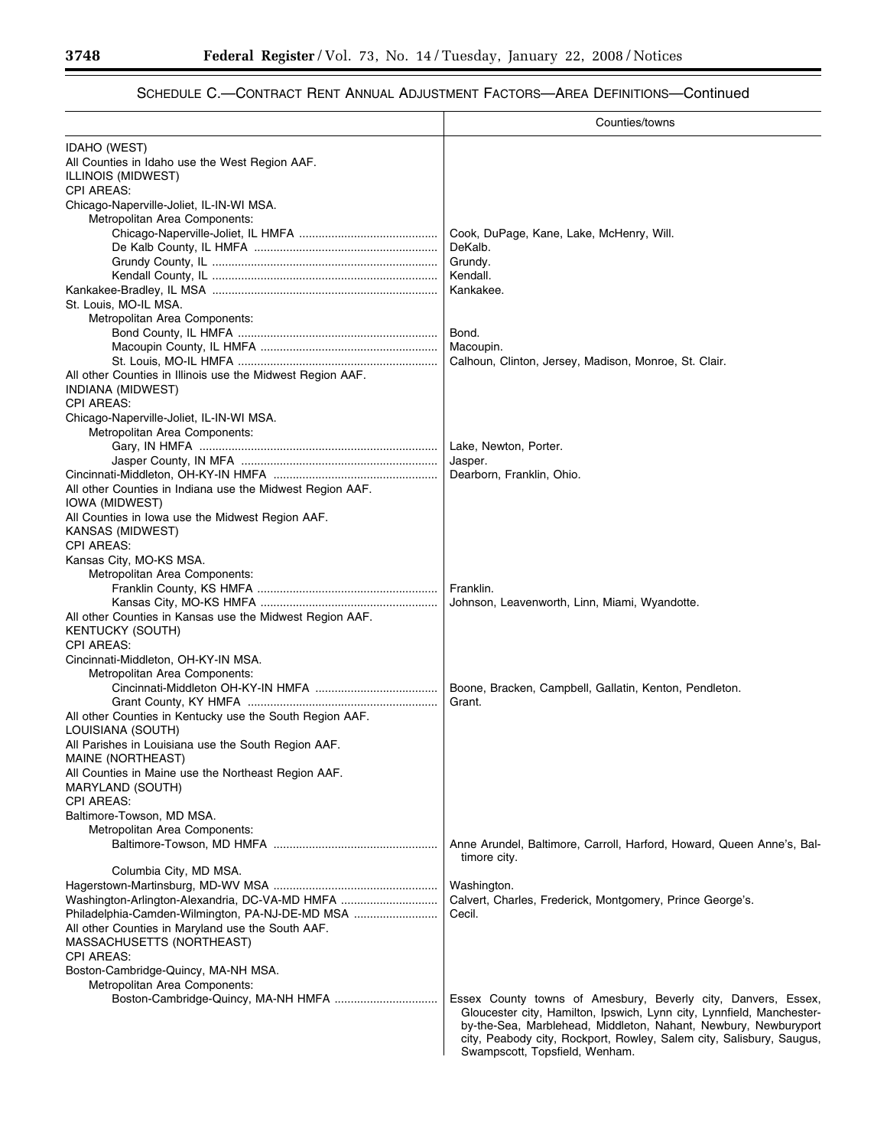|                                                                           | Counties/towns                                                                                                                                                                                                   |
|---------------------------------------------------------------------------|------------------------------------------------------------------------------------------------------------------------------------------------------------------------------------------------------------------|
| <b>IDAHO (WEST)</b>                                                       |                                                                                                                                                                                                                  |
| All Counties in Idaho use the West Region AAF.                            |                                                                                                                                                                                                                  |
| ILLINOIS (MIDWEST)                                                        |                                                                                                                                                                                                                  |
| <b>CPI AREAS:</b>                                                         |                                                                                                                                                                                                                  |
| Chicago-Naperville-Joliet, IL-IN-WI MSA.<br>Metropolitan Area Components: |                                                                                                                                                                                                                  |
|                                                                           | Cook, DuPage, Kane, Lake, McHenry, Will.                                                                                                                                                                         |
|                                                                           | DeKalb.                                                                                                                                                                                                          |
|                                                                           | Grundy.                                                                                                                                                                                                          |
|                                                                           | Kendall.                                                                                                                                                                                                         |
|                                                                           | Kankakee.                                                                                                                                                                                                        |
| St. Louis, MO-IL MSA.                                                     |                                                                                                                                                                                                                  |
| Metropolitan Area Components:                                             |                                                                                                                                                                                                                  |
|                                                                           | Bond.                                                                                                                                                                                                            |
|                                                                           | Macoupin.                                                                                                                                                                                                        |
|                                                                           | Calhoun, Clinton, Jersey, Madison, Monroe, St. Clair.                                                                                                                                                            |
| All other Counties in Illinois use the Midwest Region AAF.                |                                                                                                                                                                                                                  |
| INDIANA (MIDWEST)<br><b>CPI AREAS:</b>                                    |                                                                                                                                                                                                                  |
| Chicago-Naperville-Joliet, IL-IN-WI MSA.                                  |                                                                                                                                                                                                                  |
| Metropolitan Area Components:                                             |                                                                                                                                                                                                                  |
|                                                                           | Lake, Newton, Porter.                                                                                                                                                                                            |
|                                                                           | Jasper.                                                                                                                                                                                                          |
|                                                                           | Dearborn, Franklin, Ohio.                                                                                                                                                                                        |
| All other Counties in Indiana use the Midwest Region AAF.                 |                                                                                                                                                                                                                  |
| IOWA (MIDWEST)                                                            |                                                                                                                                                                                                                  |
| All Counties in Iowa use the Midwest Region AAF.                          |                                                                                                                                                                                                                  |
| KANSAS (MIDWEST)                                                          |                                                                                                                                                                                                                  |
| <b>CPI AREAS:</b>                                                         |                                                                                                                                                                                                                  |
| Kansas City, MO-KS MSA.                                                   |                                                                                                                                                                                                                  |
| Metropolitan Area Components:                                             | Franklin.                                                                                                                                                                                                        |
|                                                                           | Johnson, Leavenworth, Linn, Miami, Wyandotte.                                                                                                                                                                    |
| All other Counties in Kansas use the Midwest Region AAF.                  |                                                                                                                                                                                                                  |
| <b>KENTUCKY (SOUTH)</b>                                                   |                                                                                                                                                                                                                  |
| <b>CPI AREAS:</b>                                                         |                                                                                                                                                                                                                  |
| Cincinnati-Middleton, OH-KY-IN MSA.                                       |                                                                                                                                                                                                                  |
| Metropolitan Area Components:                                             |                                                                                                                                                                                                                  |
|                                                                           | Boone, Bracken, Campbell, Gallatin, Kenton, Pendleton.                                                                                                                                                           |
|                                                                           | Grant.                                                                                                                                                                                                           |
| All other Counties in Kentucky use the South Region AAF.                  |                                                                                                                                                                                                                  |
| LOUISIANA (SOUTH)                                                         |                                                                                                                                                                                                                  |
| All Parishes in Louisiana use the South Region AAF.<br>MAINE (NORTHEAST)  |                                                                                                                                                                                                                  |
| All Counties in Maine use the Northeast Region AAF.                       |                                                                                                                                                                                                                  |
| MARYLAND (SOUTH)                                                          |                                                                                                                                                                                                                  |
| <b>CPI AREAS:</b>                                                         |                                                                                                                                                                                                                  |
| Baltimore-Towson, MD MSA.                                                 |                                                                                                                                                                                                                  |
| Metropolitan Area Components:                                             |                                                                                                                                                                                                                  |
|                                                                           | Anne Arundel, Baltimore, Carroll, Harford, Howard, Queen Anne's, Bal-                                                                                                                                            |
|                                                                           | timore city.                                                                                                                                                                                                     |
| Columbia City, MD MSA.                                                    |                                                                                                                                                                                                                  |
| Washington-Arlington-Alexandria, DC-VA-MD HMFA                            | Washington.<br>Calvert, Charles, Frederick, Montgomery, Prince George's.                                                                                                                                         |
| Philadelphia-Camden-Wilmington, PA-NJ-DE-MD MSA                           | Cecil.                                                                                                                                                                                                           |
| All other Counties in Maryland use the South AAF.                         |                                                                                                                                                                                                                  |
| MASSACHUSETTS (NORTHEAST)                                                 |                                                                                                                                                                                                                  |
| <b>CPI AREAS:</b>                                                         |                                                                                                                                                                                                                  |
| Boston-Cambridge-Quincy, MA-NH MSA.                                       |                                                                                                                                                                                                                  |
| Metropolitan Area Components:                                             |                                                                                                                                                                                                                  |
|                                                                           | Essex County towns of Amesbury, Beverly city, Danvers, Essex,                                                                                                                                                    |
|                                                                           | Gloucester city, Hamilton, Ipswich, Lynn city, Lynnfield, Manchester-<br>by-the-Sea, Marblehead, Middleton, Nahant, Newbury, Newburyport<br>city, Peabody city, Rockport, Rowley, Salem city, Salisbury, Saugus, |
|                                                                           | Swampscott, Topsfield, Wenham.                                                                                                                                                                                   |

e.

۳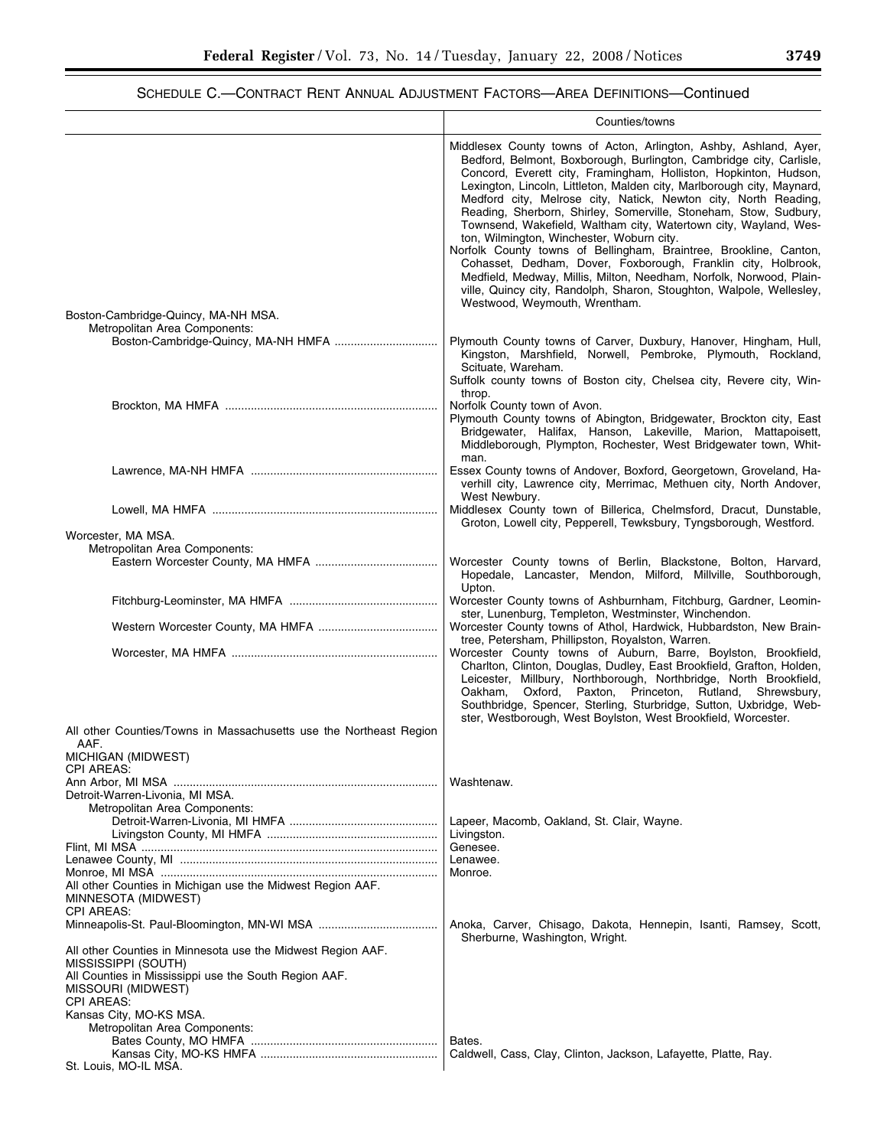|                                                                                                                                                                                                                   | Counties/towns                                                                                                                                                                                                                                                                                                                                                                                                                                                                                                                                                                                                                                                                                                                                                                                                                                                       |
|-------------------------------------------------------------------------------------------------------------------------------------------------------------------------------------------------------------------|----------------------------------------------------------------------------------------------------------------------------------------------------------------------------------------------------------------------------------------------------------------------------------------------------------------------------------------------------------------------------------------------------------------------------------------------------------------------------------------------------------------------------------------------------------------------------------------------------------------------------------------------------------------------------------------------------------------------------------------------------------------------------------------------------------------------------------------------------------------------|
| Boston-Cambridge-Quincy, MA-NH MSA.                                                                                                                                                                               | Middlesex County towns of Acton, Arlington, Ashby, Ashland, Ayer,<br>Bedford, Belmont, Boxborough, Burlington, Cambridge city, Carlisle,<br>Concord, Everett city, Framingham, Holliston, Hopkinton, Hudson,<br>Lexington, Lincoln, Littleton, Malden city, Marlborough city, Maynard,<br>Medford city, Melrose city, Natick, Newton city, North Reading,<br>Reading, Sherborn, Shirley, Somerville, Stoneham, Stow, Sudbury,<br>Townsend, Wakefield, Waltham city, Watertown city, Wayland, Wes-<br>ton, Wilmington, Winchester, Woburn city.<br>Norfolk County towns of Bellingham, Braintree, Brookline, Canton,<br>Cohasset, Dedham, Dover, Foxborough, Franklin city, Holbrook,<br>Medfield, Medway, Millis, Milton, Needham, Norfolk, Norwood, Plain-<br>ville, Quincy city, Randolph, Sharon, Stoughton, Walpole, Wellesley,<br>Westwood, Weymouth, Wrentham. |
| Metropolitan Area Components:                                                                                                                                                                                     | Plymouth County towns of Carver, Duxbury, Hanover, Hingham, Hull,<br>Kingston, Marshfield, Norwell, Pembroke, Plymouth, Rockland,<br>Scituate, Wareham.<br>Suffolk county towns of Boston city, Chelsea city, Revere city, Win-<br>throp.                                                                                                                                                                                                                                                                                                                                                                                                                                                                                                                                                                                                                            |
|                                                                                                                                                                                                                   | Norfolk County town of Avon.<br>Plymouth County towns of Abington, Bridgewater, Brockton city, East<br>Bridgewater, Halifax, Hanson, Lakeville, Marion, Mattapoisett,<br>Middleborough, Plympton, Rochester, West Bridgewater town, Whit-<br>man.                                                                                                                                                                                                                                                                                                                                                                                                                                                                                                                                                                                                                    |
|                                                                                                                                                                                                                   | Essex County towns of Andover, Boxford, Georgetown, Groveland, Ha-<br>verhill city, Lawrence city, Merrimac, Methuen city, North Andover,<br>West Newbury.                                                                                                                                                                                                                                                                                                                                                                                                                                                                                                                                                                                                                                                                                                           |
| Worcester, MA MSA.                                                                                                                                                                                                | Middlesex County town of Billerica, Chelmsford, Dracut, Dunstable,<br>Groton, Lowell city, Pepperell, Tewksbury, Tyngsborough, Westford.                                                                                                                                                                                                                                                                                                                                                                                                                                                                                                                                                                                                                                                                                                                             |
| Metropolitan Area Components:                                                                                                                                                                                     | Worcester County towns of Berlin, Blackstone, Bolton, Harvard,<br>Hopedale, Lancaster, Mendon, Milford, Millville, Southborough,<br>Upton.                                                                                                                                                                                                                                                                                                                                                                                                                                                                                                                                                                                                                                                                                                                           |
|                                                                                                                                                                                                                   | Worcester County towns of Ashburnham, Fitchburg, Gardner, Leomin-<br>ster, Lunenburg, Templeton, Westminster, Winchendon.<br>Worcester County towns of Athol, Hardwick, Hubbardston, New Brain-                                                                                                                                                                                                                                                                                                                                                                                                                                                                                                                                                                                                                                                                      |
|                                                                                                                                                                                                                   | tree, Petersham, Phillipston, Royalston, Warren.<br>Worcester County towns of Auburn, Barre, Boylston, Brookfield,<br>Charlton, Clinton, Douglas, Dudley, East Brookfield, Grafton, Holden,<br>Leicester, Millbury, Northborough, Northbridge, North Brookfield,<br>Oxford, Paxton, Princeton, Rutland, Shrewsbury,<br>Oakham,<br>Southbridge, Spencer, Sterling, Sturbridge, Sutton, Uxbridge, Web-<br>ster, Westborough, West Boylston, West Brookfield, Worcester.                                                                                                                                                                                                                                                                                                                                                                                                |
| All other Counties/Towns in Massachusetts use the Northeast Region<br>AAF.<br>MICHIGAN (MIDWEST)<br><b>CPI AREAS:</b>                                                                                             |                                                                                                                                                                                                                                                                                                                                                                                                                                                                                                                                                                                                                                                                                                                                                                                                                                                                      |
| Detroit-Warren-Livonia, MI MSA.                                                                                                                                                                                   | Washtenaw.                                                                                                                                                                                                                                                                                                                                                                                                                                                                                                                                                                                                                                                                                                                                                                                                                                                           |
| Metropolitan Area Components:                                                                                                                                                                                     | Lapeer, Macomb, Oakland, St. Clair, Wayne.<br>Livingston.<br>Genesee.                                                                                                                                                                                                                                                                                                                                                                                                                                                                                                                                                                                                                                                                                                                                                                                                |
| All other Counties in Michigan use the Midwest Region AAF.<br>MINNESOTA (MIDWEST)                                                                                                                                 | Lenawee.<br>Monroe.                                                                                                                                                                                                                                                                                                                                                                                                                                                                                                                                                                                                                                                                                                                                                                                                                                                  |
| <b>CPI AREAS:</b>                                                                                                                                                                                                 | Anoka, Carver, Chisago, Dakota, Hennepin, Isanti, Ramsey, Scott,<br>Sherburne, Washington, Wright.                                                                                                                                                                                                                                                                                                                                                                                                                                                                                                                                                                                                                                                                                                                                                                   |
| All other Counties in Minnesota use the Midwest Region AAF.<br>MISSISSIPPI (SOUTH)<br>All Counties in Mississippi use the South Region AAF.<br>MISSOURI (MIDWEST)<br><b>CPI AREAS:</b><br>Kansas City, MO-KS MSA. |                                                                                                                                                                                                                                                                                                                                                                                                                                                                                                                                                                                                                                                                                                                                                                                                                                                                      |
| Metropolitan Area Components:<br>St. Louis, MO-IL MSA.                                                                                                                                                            | Bates.<br>Caldwell, Cass, Clay, Clinton, Jackson, Lafayette, Platte, Ray.                                                                                                                                                                                                                                                                                                                                                                                                                                                                                                                                                                                                                                                                                                                                                                                            |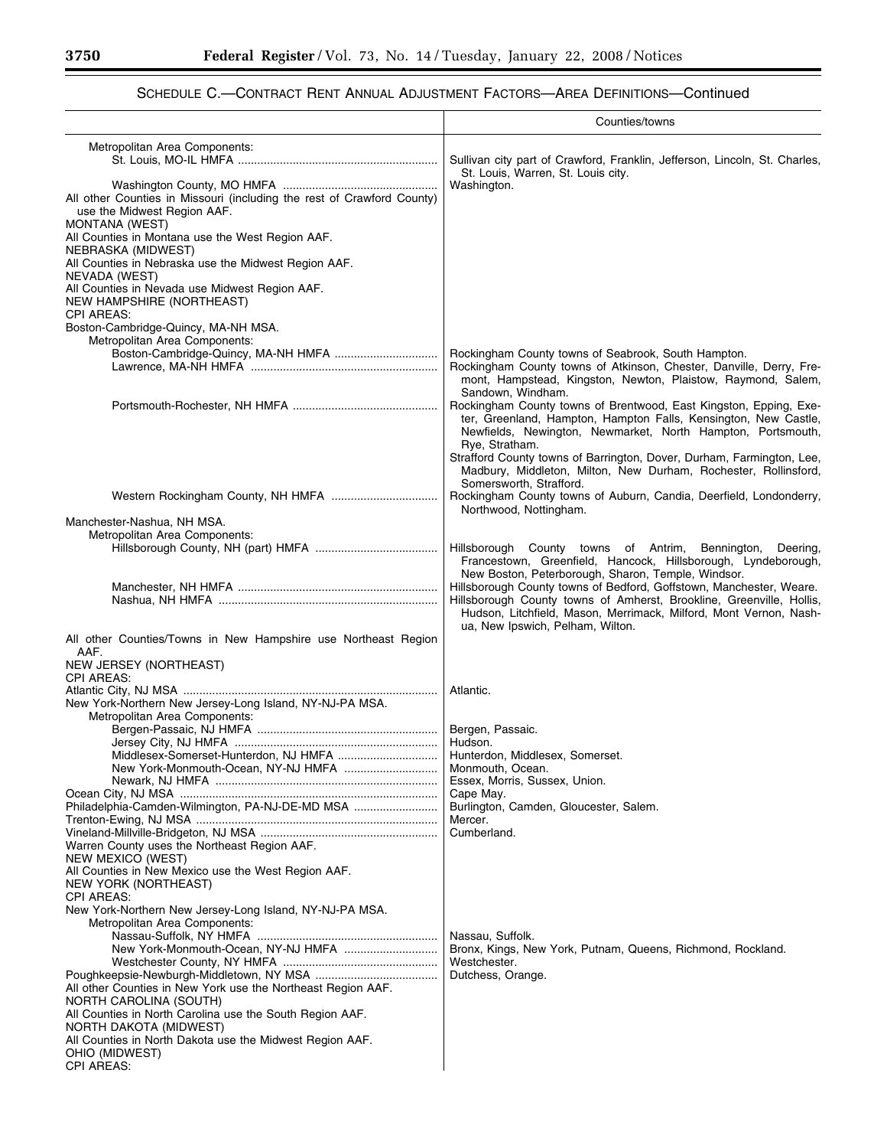#### Counties/towns Metropolitan Area Components: Sullivan city part of Crawford, Franklin, Jefferson, Lincoln, St. Charles, St. Louis, Warren, St. Louis city. Washington County, MO HMFA ................................................ Washington. All other Counties in Missouri (including the rest of Crawford County) use the Midwest Region AAF. MONTANA (WEST) All Counties in Montana use the West Region AAF. NEBRASKA (MIDWEST) All Counties in Nebraska use the Midwest Region AAF. NEVADA (WEST) All Counties in Nevada use Midwest Region AAF. NEW HAMPSHIRE (NORTHEAST) CPI AREAS: Boston-Cambridge-Quincy, MA-NH MSA. Metropolitan Area Components: Boston-Cambridge-Quincy, MA-NH HMFA ................................ Rockingham County towns of Seabrook, South Hampton. Rockingham County towns of Atkinson, Chester, Danville, Derry, Fremont, Hampstead, Kingston, Newton, Plaistow, Raymond, Salem, Sandown, Windham. Portsmouth-Rochester, NH HMFA ............................................. Rockingham County towns of Brentwood, East Kingston, Epping, Exeter, Greenland, Hampton, Hampton Falls, Kensington, New Castle, Newfields, Newington, Newmarket, North Hampton, Portsmouth, Rye, Stratham. Strafford County towns of Barrington, Dover, Durham, Farmington, Lee, Madbury, Middleton, Milton, New Durham, Rochester, Rollinsford, Somersworth, Strafford. Western Rockingham County, NH HMFA ................................. Rockingham County towns of Auburn, Candia, Deerfield, Londonderry, Northwood, Nottingham. Manchester-Nashua, NH MSA. Metropolitan Area Components: Hillsborough County towns of Antrim, Bennington, Deering, Francestown, Greenfield, Hancock, Hillsborough, Lyndeborough, New Boston, Peterborough, Sharon, Temple, Windsor. Manchester, NH HMFA .............................................................. Hillsborough County towns of Bedford, Goffstown, Manchester, Weare. Hillsborough County towns of Amherst, Brookline, Greenville, Hollis, Hudson, Litchfield, Mason, Merrimack, Milford, Mont Vernon, Nashua, New Ipswich, Pelham, Wilton. All other Counties/Towns in New Hampshire use Northeast Region AAF. NEW JERSEY (NORTHEAST) CPI AREAS: Atlantic City, NJ MSA ............................................................................... Atlantic. New York-Northern New Jersey-Long Island, NY-NJ-PA MSA. Metropolitan Area Components: Bergen-Passaic, NJ HMFA ........................................................ Bergen, Passaic. Jersey City, NJ HMFA ............................................................... Hudson. Middlesex-Somerset-Hunterdon, NJ HMFA ............................... New York-Monmouth-Ocean, NY-NJ HMFA ............................. Monmouth, Ocean. Newark, NJ HMFA ..................................................................... Essex, Morris, Sussex, Union. Ocean City, NJ MSA ................................................................................ Cape May. Philadelphia-Camden-Wilmington, PA-NJ-DE-MD MSA ................................. Burlington, Cambridge Trenton-Trenton-Ewing, NJ MSA ........................................................................... Mercer. Vineland-Millville-Bridgeton, NJ MSA ....................................................... Cumberland. Warren County uses the Northeast Region AAF. NEW MEXICO (WEST) All Counties in New Mexico use the West Region AAF. NEW YORK (NORTHEAST) CPI AREAS: New York-Northern New Jersey-Long Island, NY-NJ-PA MSA. Metropolitan Area Components: Nassau-Suffolk, NY HMFA ........................................................ Nassau, Suffolk. Bronx, Kings, New York, Putnam, Queens, Richmond, Rockland. Westchester County, NY HMFA ................................................ Westchester. Poughkeepsie-Newburgh-Middletown, NY MSA ...................................... Dutchess, Orange. All other Counties in New York use the Northeast Region AAF. NORTH CAROLINA (SOUTH) All Counties in North Carolina use the South Region AAF. NORTH DAKOTA (MIDWEST) All Counties in North Dakota use the Midwest Region AAF. OHIO (MIDWEST) CPI AREAS: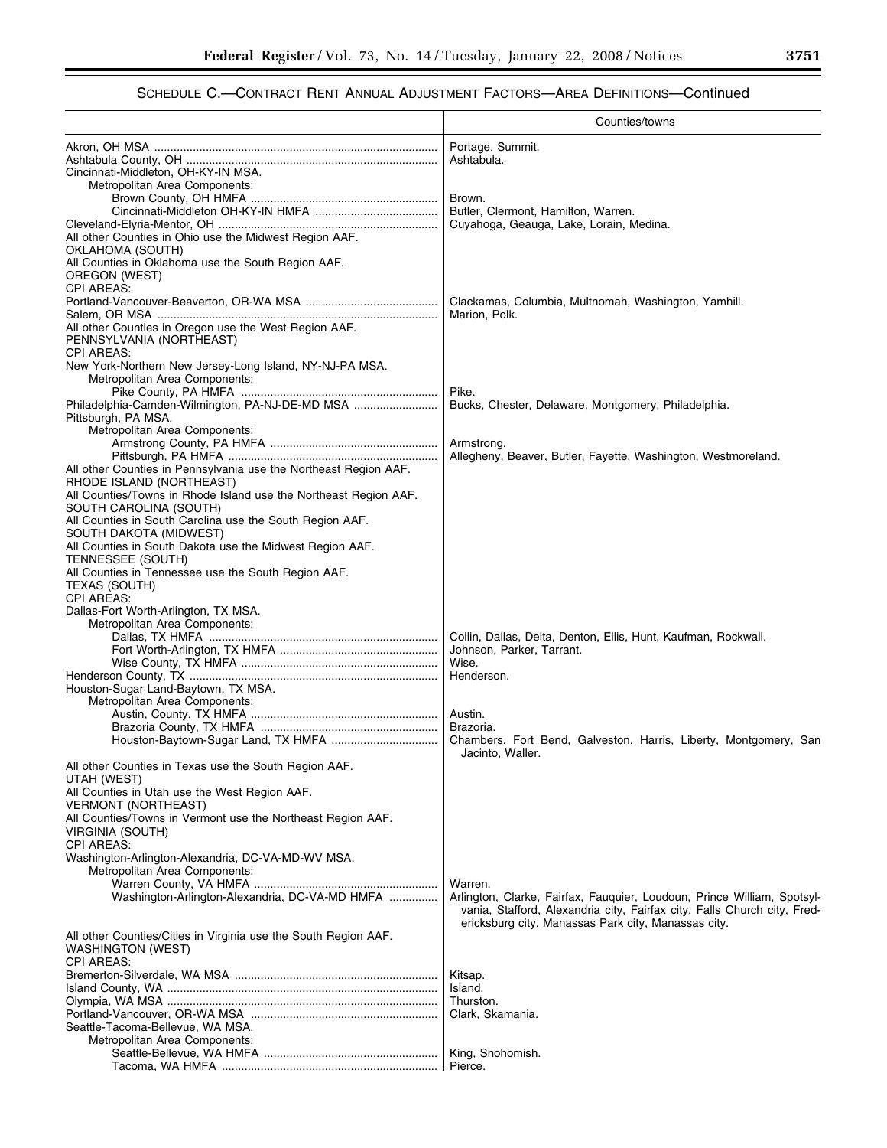|                                                                                                                  | Counties/towns                                                                                                                  |
|------------------------------------------------------------------------------------------------------------------|---------------------------------------------------------------------------------------------------------------------------------|
|                                                                                                                  | Portage, Summit.<br>Ashtabula.                                                                                                  |
| Cincinnati-Middleton, OH-KY-IN MSA.<br>Metropolitan Area Components:                                             |                                                                                                                                 |
|                                                                                                                  | Brown.<br>Butler, Clermont, Hamilton, Warren.                                                                                   |
| All other Counties in Ohio use the Midwest Region AAF.                                                           | Cuyahoga, Geauga, Lake, Lorain, Medina.                                                                                         |
| OKLAHOMA (SOUTH)<br>All Counties in Oklahoma use the South Region AAF.                                           |                                                                                                                                 |
| OREGON (WEST)<br><b>CPI AREAS:</b>                                                                               |                                                                                                                                 |
|                                                                                                                  | Clackamas, Columbia, Multnomah, Washington, Yamhill.<br>Marion, Polk.                                                           |
| All other Counties in Oregon use the West Region AAF.<br>PENNSYLVANIA (NORTHEAST)<br><b>CPI AREAS:</b>           |                                                                                                                                 |
| New York-Northern New Jersey-Long Island, NY-NJ-PA MSA.<br>Metropolitan Area Components:                         | Pike.                                                                                                                           |
| Philadelphia-Camden-Wilmington, PA-NJ-DE-MD MSA<br>Pittsburgh, PA MSA.                                           | Bucks, Chester, Delaware, Montgomery, Philadelphia.                                                                             |
| Metropolitan Area Components:                                                                                    | Armstrong.                                                                                                                      |
| All other Counties in Pennsylvania use the Northeast Region AAF.                                                 | Allegheny, Beaver, Butler, Fayette, Washington, Westmoreland.                                                                   |
| RHODE ISLAND (NORTHEAST)<br>All Counties/Towns in Rhode Island use the Northeast Region AAF.                     |                                                                                                                                 |
| SOUTH CAROLINA (SOUTH)<br>All Counties in South Carolina use the South Region AAF.                               |                                                                                                                                 |
| SOUTH DAKOTA (MIDWEST)                                                                                           |                                                                                                                                 |
| All Counties in South Dakota use the Midwest Region AAF.<br>TENNESSEE (SOUTH)                                    |                                                                                                                                 |
| All Counties in Tennessee use the South Region AAF.<br>TEXAS (SOUTH)                                             |                                                                                                                                 |
| <b>CPI AREAS:</b><br>Dallas-Fort Worth-Arlington, TX MSA.                                                        |                                                                                                                                 |
| Metropolitan Area Components:                                                                                    | Collin, Dallas, Delta, Denton, Ellis, Hunt, Kaufman, Rockwall.                                                                  |
|                                                                                                                  | Johnson, Parker, Tarrant.<br>Wise.                                                                                              |
| Houston-Sugar Land-Baytown, TX MSA.                                                                              | Henderson.                                                                                                                      |
| Metropolitan Area Components:                                                                                    | Austin.                                                                                                                         |
|                                                                                                                  | Brazoria.<br>Chambers, Fort Bend, Galveston, Harris, Liberty, Montgomery, San                                                   |
| All other Counties in Texas use the South Region AAF.                                                            | Jacinto, Waller.                                                                                                                |
| UTAH (WEST)<br>All Counties in Utah use the West Region AAF.                                                     |                                                                                                                                 |
| <b>VERMONT (NORTHEAST)</b><br>All Counties/Towns in Vermont use the Northeast Region AAF.                        |                                                                                                                                 |
| VIRGINIA (SOUTH)<br><b>CPI AREAS:</b>                                                                            |                                                                                                                                 |
| Washington-Arlington-Alexandria, DC-VA-MD-WV MSA.<br>Metropolitan Area Components:                               |                                                                                                                                 |
| Washington-Arlington-Alexandria, DC-VA-MD HMFA                                                                   | Warren.<br>Arlington, Clarke, Fairfax, Fauquier, Loudoun, Prince William, Spotsyl-                                              |
|                                                                                                                  | vania, Stafford, Alexandria city, Fairfax city, Falls Church city, Fred-<br>ericksburg city, Manassas Park city, Manassas city. |
| All other Counties/Cities in Virginia use the South Region AAF.<br><b>WASHINGTON (WEST)</b><br><b>CPI AREAS:</b> |                                                                                                                                 |
|                                                                                                                  | Kitsap.                                                                                                                         |
|                                                                                                                  | Island.<br>Thurston.                                                                                                            |
| Seattle-Tacoma-Bellevue, WA MSA.                                                                                 | Clark, Skamania.                                                                                                                |
| Metropolitan Area Components:                                                                                    |                                                                                                                                 |
|                                                                                                                  | King, Snohomish.<br>Pierce.                                                                                                     |